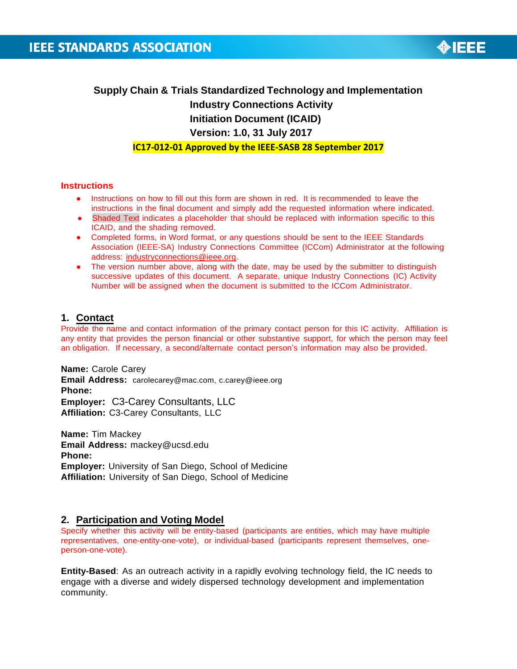

**Supply Chain & Trials Standardized Technology and Implementation Industry Connections Activity Initiation Document (ICAID) Version: 1.0, 31 July 2017**

**IC17-012-01 Approved by the IEEE-SASB 28 September 2017**

### **Instructions**

- Instructions on how to fill out this form are shown in red. It is recommended to leave the instructions in the final document and simply add the requested information where indicated.
- Shaded Text indicates a placeholder that should be replaced with information specific to this ICAID, and the shading removed.
- Completed forms, in Word format, or any questions should be sent to the IEEE Standards Association (IEEE-SA) Industry Connections Committee (ICCom) Administrator at the following address: [industryconnections@ieee.org.](mailto:industryconnections@ieee.org)
- The version number above, along with the date, may be used by the submitter to distinguish successive updates of this document. A separate, unique Industry Connections (IC) Activity Number will be assigned when the document is submitted to the ICCom Administrator.

## **1. Contact**

Provide the name and contact information of the primary contact person for this IC activity. Affiliation is any entity that provides the person financial or other substantive support, for which the person may feel an obligation. If necessary, a second/alternate contact person's information may also be provided.

**Name:** Carole Carey **Email Address:** [carolecarey@mac.com,](mailto:carolecarey@mac.com) [c.carey@ieee.org](mailto:carolecarey@mac.com) **Phone: Employer:** C3-Carey Consultants, LLC **Affiliation:** C3-Carey Consultants, LLC

**Name:** Tim Mackey **Email Address:** [mackey@ucsd.edu](mailto:mackey@ucsd.edu) **Phone: Employer:** University of San Diego, School of Medicine **Affiliation:** University of San Diego, School of Medicine

## **2. Participation and Voting Model**

Specify whether this activity will be entity-based (participants are entities, which may have multiple representatives, one-entity-one-vote), or individual-based (participants represent themselves, oneperson-one-vote).

**Entity-Based**: As an outreach activity in a rapidly evolving technology field, the IC needs to engage with a diverse and widely dispersed technology development and implementation community.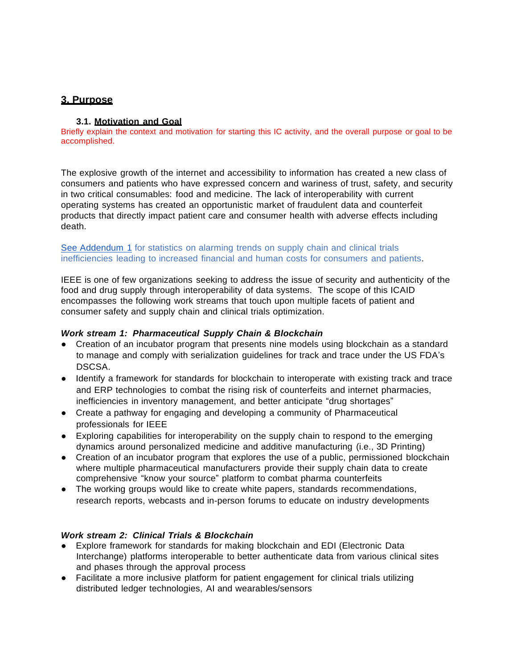# **3. Purpose**

## **3.1. Motivation and Goal**

Briefly explain the context and motivation for starting this IC activity, and the overall purpose or goal to be accomplished.

The explosive growth of the internet and accessibility to information has created a new class of consumers and patients who have expressed concern and wariness of trust, safety, and security in two critical consumables: food and medicine. The lack of interoperability with current operating systems has created an opportunistic market of fraudulent data and counterfeit products that directly impact patient care and consumer health with adverse effects including death.

## See Addendum 1 for statistics on alarming trends on supply chain and clinical trials inefficiencies leading to increased financial and human costs for consumers and patients.

IEEE is one of few organizations seeking to address the issue of security and authenticity of the food and drug supply through interoperability of data systems. The scope of this ICAID encompasses the following work streams that touch upon multiple facets of patient and consumer safety and supply chain and clinical trials optimization.

## *Work stream 1: Pharmaceutical Supply Chain & Blockchain*

- Creation of an incubator program that presents nine models using blockchain as a standard to manage and comply with serialization guidelines for track and trace under the US FDA's DSCSA.
- Identify a framework for standards for blockchain to interoperate with existing track and trace and ERP technologies to combat the rising risk of counterfeits and internet pharmacies, inefficiencies in inventory management, and better anticipate "drug shortages"
- Create a pathway for engaging and developing a community of Pharmaceutical professionals for IEEE
- Exploring capabilities for interoperability on the supply chain to respond to the emerging dynamics around personalized medicine and additive manufacturing (i.e., 3D Printing)
- Creation of an incubator program that explores the use of a public, permissioned blockchain where multiple pharmaceutical manufacturers provide their supply chain data to create comprehensive "know your source" platform to combat pharma counterfeits
- The working groups would like to create white papers, standards recommendations, research reports, webcasts and in-person forums to educate on industry developments

## *Work stream 2: Clinical Trials & Blockchain*

- Explore framework for standards for making blockchain and EDI (Electronic Data Interchange) platforms interoperable to better authenticate data from various clinical sites and phases through the approval process
- Facilitate a more inclusive platform for patient engagement for clinical trials utilizing distributed ledger technologies, AI and wearables/sensors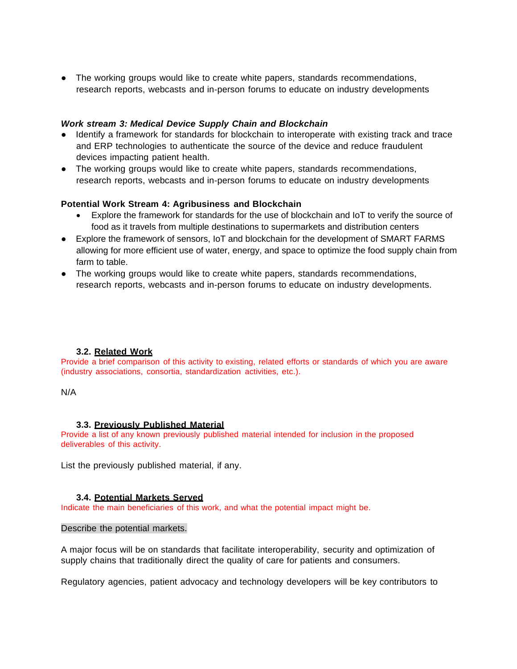• The working groups would like to create white papers, standards recommendations, research reports, webcasts and in-person forums to educate on industry developments

## *Work stream 3: Medical Device Supply Chain and Blockchain*

- Identify a framework for standards for blockchain to interoperate with existing track and trace and ERP technologies to authenticate the source of the device and reduce fraudulent devices impacting patient health.
- The working groups would like to create white papers, standards recommendations, research reports, webcasts and in-person forums to educate on industry developments

#### **Potential Work Stream 4: Agribusiness and Blockchain**

- Explore the framework for standards for the use of blockchain and IoT to verify the source of food as it travels from multiple destinations to supermarkets and distribution centers
- Explore the framework of sensors, IoT and blockchain for the development of SMART FARMS allowing for more efficient use of water, energy, and space to optimize the food supply chain from farm to table.
- The working groups would like to create white papers, standards recommendations, research reports, webcasts and in-person forums to educate on industry developments.

## **3.2. Related Work**

Provide a brief comparison of this activity to existing, related efforts or standards of which you are aware (industry associations, consortia, standardization activities, etc.).

#### N/A

#### **3.3. Previously Published Material**

Provide a list of any known previously published material intended for inclusion in the proposed deliverables of this activity.

List the previously published material, if any.

## **3.4. Potential Markets Served**

Indicate the main beneficiaries of this work, and what the potential impact might be.

#### Describe the potential markets.

A major focus will be on standards that facilitate interoperability, security and optimization of supply chains that traditionally direct the quality of care for patients and consumers.

Regulatory agencies, patient advocacy and technology developers will be key contributors to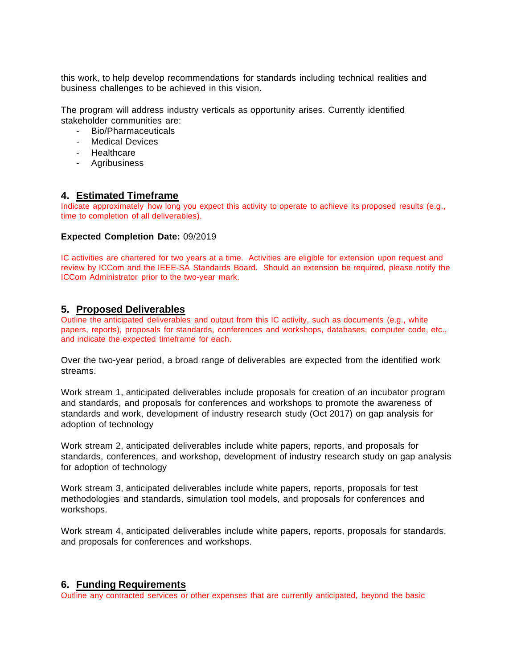this work, to help develop recommendations for standards including technical realities and business challenges to be achieved in this vision.

The program will address industry verticals as opportunity arises. Currently identified stakeholder communities are:

- Bio/Pharmaceuticals
- Medical Devices
- Healthcare
- Agribusiness

## **4. Estimated Timeframe**

Indicate approximately how long you expect this activity to operate to achieve its proposed results (e.g., time to completion of all deliverables).

#### **Expected Completion Date:** 09/2019

IC activities are chartered for two years at a time. Activities are eligible for extension upon request and review by ICCom and the IEEE-SA Standards Board. Should an extension be required, please notify the ICCom Administrator prior to the two-year mark.

## **5. Proposed Deliverables**

Outline the anticipated deliverables and output from this IC activity, such as documents (e.g., white papers, reports), proposals for standards, conferences and workshops, databases, computer code, etc., and indicate the expected timeframe for each.

Over the two-year period, a broad range of deliverables are expected from the identified work streams.

Work stream 1, anticipated deliverables include proposals for creation of an incubator program and standards, and proposals for conferences and workshops to promote the awareness of standards and work, development of industry research study (Oct 2017) on gap analysis for adoption of technology

Work stream 2, anticipated deliverables include white papers, reports, and proposals for standards, conferences, and workshop, development of industry research study on gap analysis for adoption of technology

Work stream 3, anticipated deliverables include white papers, reports, proposals for test methodologies and standards, simulation tool models, and proposals for conferences and workshops.

Work stream 4, anticipated deliverables include white papers, reports, proposals for standards, and proposals for conferences and workshops.

## **6. Funding Requirements**

Outline any contracted services or other expenses that are currently anticipated, beyond the basic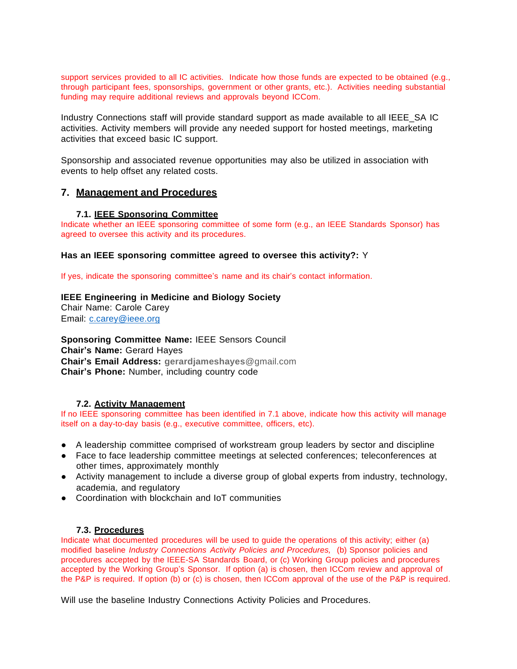support services provided to all IC activities. Indicate how those funds are expected to be obtained (e.g., through participant fees, sponsorships, government or other grants, etc.). Activities needing substantial funding may require additional reviews and approvals beyond ICCom.

Industry Connections staff will provide standard support as made available to all IEEE\_SA IC activities. Activity members will provide any needed support for hosted meetings, marketing activities that exceed basic IC support.

Sponsorship and associated revenue opportunities may also be utilized in association with events to help offset any related costs.

## **7. Management and Procedures**

#### **7.1. IEEE Sponsoring Committee**

Indicate whether an IEEE sponsoring committee of some form (e.g., an IEEE Standards Sponsor) has agreed to oversee this activity and its procedures.

#### **Has an IEEE sponsoring committee agreed to oversee this activity?:** Y

If yes, indicate the sponsoring committee's name and its chair's contact information.

## **IEEE Engineering in Medicine and Biology Society** Chair Name: Carole Carey Email: [c.carey@ieee.org](mailto:c.carey@ieee.org)

**Sponsoring Committee Name:** IEEE Sensors Council **Chair's Name:** Gerard Hayes **Chair's Email Address: [gerardjameshayes](mailto:gerardjameshayes@gmail.com)**@gmail.com **Chair's Phone:** Number, including country code

#### **7.2. Activity Management**

If no IEEE sponsoring committee has been identified in 7.1 above, indicate how this activity will manage itself on a day-to-day basis (e.g., executive committee, officers, etc).

- A leadership committee comprised of workstream group leaders by sector and discipline
- Face to face leadership committee meetings at selected conferences; teleconferences at other times, approximately monthly
- Activity management to include a diverse group of global experts from industry, technology, academia, and regulatory
- Coordination with blockchain and IoT communities

#### **7.3. Procedures**

Indicate what documented procedures will be used to guide the operations of this activity; either (a) modified baseline *Industry Connections Activity Policies and Procedures,* (b) Sponsor policies and procedures accepted by the IEEE-SA Standards Board, or (c) Working Group policies and procedures accepted by the Working Group's Sponsor. If option (a) is chosen, then ICCom review and approval of the P&P is required. If option (b) or (c) is chosen, then ICCom approval of the use of the P&P is required.

Will use the baseline Industry Connections Activity Policies and Procedures.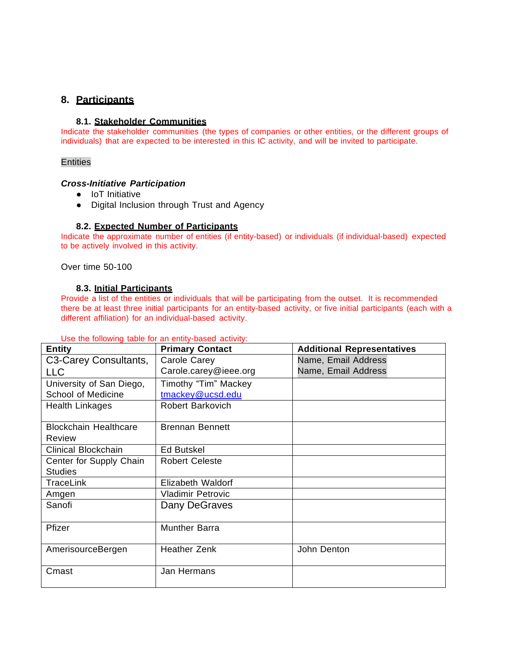# **8. Participants**

## **8.1. Stakeholder Communities**

Indicate the stakeholder communities (the types of companies or other entities, or the different groups of individuals) that are expected to be interested in this IC activity, and will be invited to participate.

#### **Entities**

#### *Cross-Initiative Participation*

- IoT Initiative
- Digital Inclusion through Trust and Agency

#### **8.2. Expected Number of Participants**

Indicate the approximate number of entities (if entity-based) or individuals (if individual-based) expected to be actively involved in this activity.

Over time 50-100

#### **8.3. Initial Participants**

Provide a list of the entities or individuals that will be participating from the outset. It is recommended there be at least three initial participants for an entity-based activity, or five initial participants (each with a different affiliation) for an individual-based activity.

| <b>Entity</b>                          | <b>Primary Contact</b>   | <b>Additional Representatives</b> |
|----------------------------------------|--------------------------|-----------------------------------|
| C3-Carey Consultants,                  | Carole Carey             | Name, Email Address               |
| <b>LLC</b>                             | Carole.carey@ieee.org    | Name, Email Address               |
| University of San Diego,               | Timothy "Tim" Mackey     |                                   |
| School of Medicine                     | tmackey@ucsd.edu         |                                   |
| <b>Health Linkages</b>                 | <b>Robert Barkovich</b>  |                                   |
| <b>Blockchain Healthcare</b><br>Review | <b>Brennan Bennett</b>   |                                   |
| Clinical Blockchain                    | <b>Ed Butskel</b>        |                                   |
| Center for Supply Chain                | <b>Robert Celeste</b>    |                                   |
| <b>Studies</b>                         |                          |                                   |
| TraceLink                              | Elizabeth Waldorf        |                                   |
| Amgen                                  | <b>Vladimir Petrovic</b> |                                   |
| Sanofi                                 | Dany DeGraves            |                                   |
| Pfizer                                 | <b>Munther Barra</b>     |                                   |
| AmerisourceBergen                      | Heather Zenk             | John Denton                       |
| Cmast                                  | Jan Hermans              |                                   |

#### Use the following table for an entity-based activity: